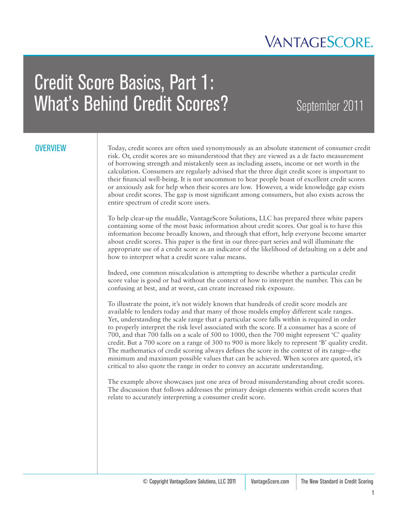

# Credit Score Basics, Part 1: What's Behind Credit Scores? September 2011

#### **OVERVIEW**

Today, credit scores are often used synonymously as an absolute statement of consumer credit risk. Or, credit scores are so misunderstood that they are viewed as a de facto measurement of borrowing strength and mistakenly seen as including assets, income or net worth in the calculation. Consumers are regularly advised that the three digit credit score is important to their financial well-being. It is not uncommon to hear people boast of excellent credit scores or anxiously ask for help when their scores are low. However, a wide knowledge gap exists about credit scores. The gap is most significant among consumers, but also exists across the entire spectrum of credit score users.

To help clear-up the muddle, VantageScore Solutions, LLC has prepared three white papers containing some of the most basic information about credit scores. Our goal is to have this information become broadly known, and through that effort, help everyone become smarter about credit scores. This paper is the first in our three-part series and will illuminate the appropriate use of a credit score as an indicator of the likelihood of defaulting on a debt and how to interpret what a credit score value means.

Indeed, one common miscalculation is attempting to describe whether a particular credit score value is good or bad without the context of how to interpret the number. This can be confusing at best, and at worst, can create increased risk exposure.

To illustrate the point, it's not widely known that hundreds of credit score models are available to lenders today and that many of those models employ different scale ranges. Yet, understanding the scale range that a particular score falls within is required in order to properly interpret the risk level associated with the score. If a consumer has a score of 700, and that 700 falls on a scale of 500 to 1000, then the 700 might represent 'C' quality credit. But a 700 score on a range of 300 to 900 is more likely to represent 'B' quality credit. The mathematics of credit scoring always defines the score in the context of its range—the minimum and maximum possible values that can be achieved. When scores are quoted, it's critical to also quote the range in order to convey an accurate understanding.

The example above showcases just one area of broad misunderstanding about credit scores. The discussion that follows addresses the primary design elements within credit scores that relate to accurately interpreting a consumer credit score.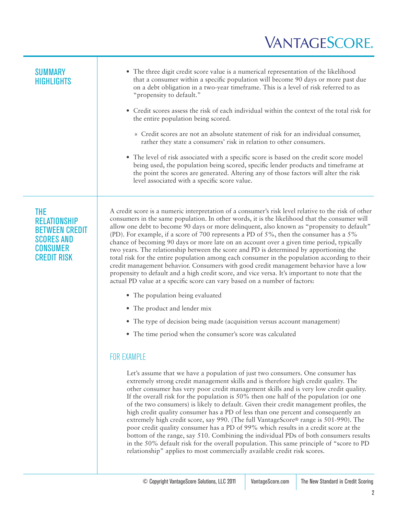- The three digit credit score value is a numerical representation of the likelihood that a consumer within a specific population will become 90 days or more past due on a debt obligation in a two-year timeframe. This is a level of risk referred to as "propensity to default."
- • Credit scores assess the risk of each individual within the context of the total risk for the entire population being scored.
	- » Credit scores are not an absolute statement of risk for an individual consumer, rather they state a consumers' risk in relation to other consumers.
- The level of risk associated with a specific score is based on the credit score model being used, the population being scored, specific lender products and timeframe at the point the scores are generated. Altering any of those factors will alter the risk level associated with a specific score value.

#### THE **RELATIONSHIP** BETWEEN CREDIT SCORES AND **CONSUMER** CREDIT RISK

A credit score is a numeric interpretation of a consumer's risk level relative to the risk of other consumers in the same population. In other words, it is the likelihood that the consumer will allow one debt to become 90 days or more delinquent, also known as "propensity to default" (PD). For example, if a score of 700 represents a PD of 5%, then the consumer has a 5% chance of becoming 90 days or more late on an account over a given time period, typically two years. The relationship between the score and PD is determined by apportioning the total risk for the entire population among each consumer in the population according to their credit management behavior. Consumers with good credit management behavior have a low propensity to default and a high credit score, and vice versa. It's important to note that the actual PD value at a specific score can vary based on a number of factors:

- The population being evaluated
- The product and lender mix
- The type of decision being made (acquisition versus account management)
- The time period when the consumer's score was calculated

#### FOR EXAMPLE

Let's assume that we have a population of just two consumers. One consumer has extremely strong credit management skills and is therefore high credit quality. The other consumer has very poor credit management skills and is very low credit quality. If the overall risk for the population is 50% then one half of the population (or one of the two consumers) is likely to default. Given their credit management profiles, the high credit quality consumer has a PD of less than one percent and consequently an extremely high credit score, say 990. (The full VantageScore® range is 501-990). The poor credit quality consumer has a PD of 99% which results in a credit score at the bottom of the range, say 510. Combining the individual PDs of both consumers results in the 50% default risk for the overall population. This same principle of "score to PD relationship" applies to most commercially available credit risk scores.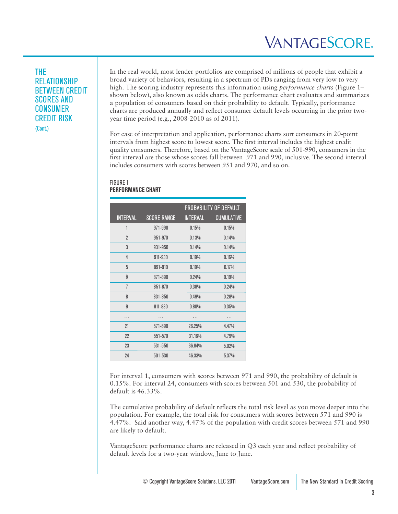#### THE RELATIONSHIP BETWEEN CREDIT SCORES AND CONSUMER CREDIT RISK (Cont.)

In the real world, most lender portfolios are comprised of millions of people that exhibit a broad variety of behaviors, resulting in a spectrum of PDs ranging from very low to very high. The scoring industry represents this information using *performance charts* (Figure 1– shown below), also known as odds charts. The performance chart evaluates and summarizes a population of consumers based on their probability to default. Typically, performance charts are produced annually and reflect consumer default levels occurring in the prior twoyear time period (e.g., 2008-2010 as of 2011).

For ease of interpretation and application, performance charts sort consumers in 20-point intervals from highest score to lowest score. The first interval includes the highest credit quality consumers. Therefore, based on the VantageScore scale of 501-990, consumers in the first interval are those whose scores fall between 971 and 990, inclusive. The second interval includes consumers with scores between 951 and 970, and so on.

#### FIGURE 1 **PERFORMANCE CHART**

|                 |                    | PROBABILITY OF DEFAULT |                   |
|-----------------|--------------------|------------------------|-------------------|
| <b>INTERVAL</b> | <b>SCORE RANGE</b> | <b>INTERVAL</b>        | <b>CUMULATIVE</b> |
| 1               | 971-990            | 0.15%                  | 0.15%             |
| $\overline{2}$  | 951-970            | 0.13%                  | 0.14%             |
| 3               | 931-950            | 0.14%                  | 0.14%             |
| 4               | 911-930            | 0.19%                  | 0.16%             |
| 5               | 891-910            | 0.19%                  | 0.17%             |
| ĥ               | 871-890            | 0.24%                  | 0.19%             |
| $\overline{1}$  | 851-870            | 0.38%                  | 0.24%             |
| 8               | 831-850            | 0.49%                  | 0.28%             |
| $\overline{9}$  | 811-830            | 0.80%                  | 0.35%             |
| .               | $\cdots$           | .                      | $\cdots$          |
| 21              | 571-590            | 26.25%                 | 4.47%             |
| 22              | 551-570            | 31.16%                 | 4.79%             |
| 23              | 531-550            | 36.84%                 | 5.02%             |
| 24              | 501-530            | 46.33%                 | 5.37%             |

For interval 1, consumers with scores between 971 and 990, the probability of default is 0.15%. For interval 24, consumers with scores between 501 and 530, the probability of default is 46.33%.

The cumulative probability of default reflects the total risk level as you move deeper into the population. For example, the total risk for consumers with scores between 571 and 990 is 4.47%. Said another way, 4.47% of the population with credit scores between 571 and 990 are likely to default.

VantageScore performance charts are released in Q3 each year and reflect probability of default levels for a two-year window, June to June.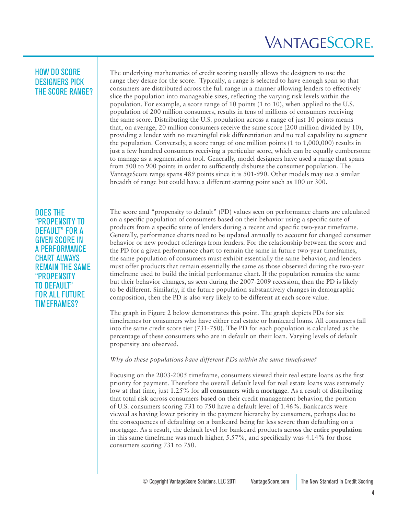#### HOW DO SCORE DESIGNERS PICK THE SCORE RANGE?

The underlying mathematics of credit scoring usually allows the designers to use the range they desire for the score. Typically, a range is selected to have enough span so that consumers are distributed across the full range in a manner allowing lenders to effectively slice the population into manageable sizes, reflecting the varying risk levels within the population. For example, a score range of 10 points (1 to 10), when applied to the U.S. population of 200 million consumers, results in tens of millions of consumers receiving the same score. Distributing the U.S. population across a range of just 10 points means that, on average, 20 million consumers receive the same score (200 million divided by 10), providing a lender with no meaningful risk differentiation and no real capability to segment the population. Conversely, a score range of one million points (1 to 1,000,000) results in just a few hundred consumers receiving a particular score, which can be equally cumbersome to manage as a segmentation tool. Generally, model designers have used a range that spans from 500 to 900 points in order to sufficiently disburse the consumer population. The VantageScore range spans 489 points since it is 501-990. Other models may use a similar breadth of range but could have a different starting point such as 100 or 300.

DOES THE "PROPENSITY TO DEFAULT" FOR A GIVEN SCORE IN A PERFORMANCE CHART ALWAYS REMAIN THE SAME "PROPENSITY TO DEFAULT" FOR ALL FUTURE TIMEFRAMES?

The score and "propensity to default" (PD) values seen on performance charts are calculated on a specific population of consumers based on their behavior using a specific suite of products from a specific suite of lenders during a recent and specific two-year timeframe. Generally, performance charts need to be updated annually to account for changed consumer behavior or new product offerings from lenders. For the relationship between the score and the PD for a given performance chart to remain the same in future two-year timeframes, the same population of consumers must exhibit essentially the same behavior, and lenders must offer products that remain essentially the same as those observed during the two-year timeframe used to build the initial performance chart. If the population remains the same but their behavior changes, as seen during the 2007-2009 recession, then the PD is likely to be different. Similarly, if the future population substantively changes in demographic composition, then the PD is also very likely to be different at each score value.

The graph in Figure 2 below demonstrates this point. The graph depicts PDs for six timeframes for consumers who have either real estate or bankcard loans. All consumers fall into the same credit score tier (731-750). The PD for each population is calculated as the percentage of these consumers who are in default on their loan. Varying levels of default propensity are observed.

#### *Why do these populations have different PDs within the same timeframe?*

Focusing on the 2003-2005 timeframe, consumers viewed their real estate loans as the first priority for payment. Therefore the overall default level for real estate loans was extremely low at that time, just 1.25% for **all consumers with a mortgage**. As a result of distributing that total risk across consumers based on their credit management behavior, the portion of U.S. consumers scoring 731 to 750 have a default level of 1.46%. Bankcards were viewed as having lower priority in the payment hierarchy by consumers, perhaps due to the consequences of defaulting on a bankcard being far less severe than defaulting on a mortgage. As a result, the default level for bankcard products **across the entire population**  in this same timeframe was much higher, 5.57%, and specifically was 4.14% for those consumers scoring 731 to 750.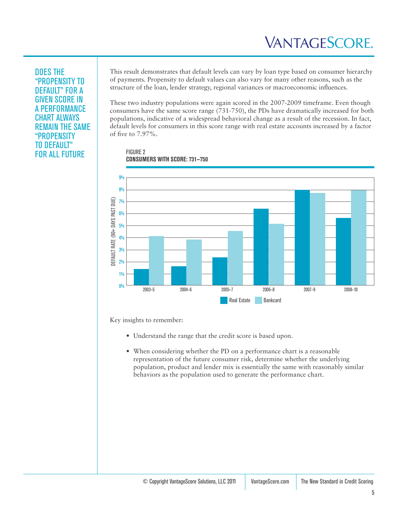#### DOES THE "PROPENSITY TO DEFAULT" FOR A GIVEN SCORE IN A PERFORMANCE CHART ALWAYS REMAIN THE SAME "PROPENSITY TO DEFAULT" FOR ALL FUTURE

This result demonstrates that default levels can vary by loan type based on consumer hierarchy of payments. Propensity to default values can also vary for many other reasons, such as the structure of the loan, lender strategy, regional variances or macroeconomic influences.

These two industry populations were again scored in the 2007-2009 timeframe. Even though consumers have the same score range (731-750), the PDs have dramatically increased for both populations, indicative of a widespread behavioral change as a result of the recession. In fact, default levels for consumers in this score range with real estate accounts increased by a factor of five to 7.97%.

FIGURE 2 **CONSUMERS WITH SCORE: 731—750**



Key insights to remember:

- Understand the range that the credit score is based upon.
- When considering whether the PD on a performance chart is a reasonable representation of the future consumer risk, determine whether the underlying population, product and lender mix is essentially the same with reasonably similar behaviors as the population used to generate the performance chart.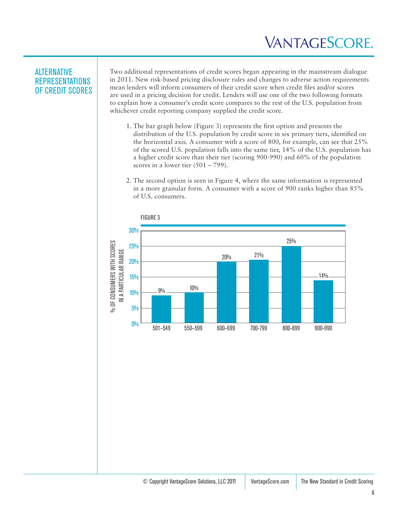#### ALTERNATIVE REPRESENTATIONS OF CREDIT SCORES

Two additional representations of credit scores began appearing in the mainstream dialogue in 2011. New risk-based pricing disclosure rules and changes to adverse action requirements mean lenders will inform consumers of their credit score when credit files and/or scores are used in a pricing decision for credit. Lenders will use one of the two following formats to explain how a consumer's credit score compares to the rest of the U.S. population from whichever credit reporting company supplied the credit score.

- 1. The bar graph below (Figure 3) represents the first option and presents the distribution of the U.S. population by credit score in six primary tiers, identified on the horizontal axis. A consumer with a score of 800, for example, can see that 25% of the scored U.S. population falls into the same tier, 14% of the U.S. population has a higher credit score than their tier (scoring 900-990) and 60% of the population scores in a lower tier  $(501 – 799)$ .
- 2. The second option is seen in Figure 4, where the same information is represented in a more granular form. A consumer with a score of 900 ranks higher than 85% of U.S. consumers.